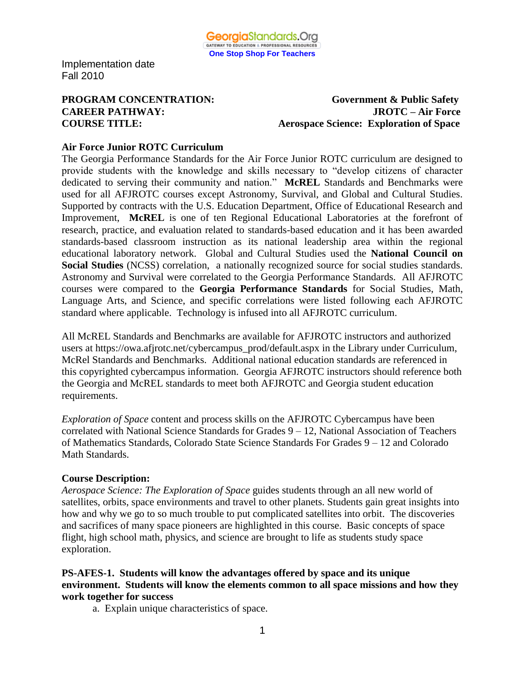

**PROGRAM CONCENTRATION:** Government & Public Safety **CAREER PATHWAY: JROTC – Air Force COURSE TITLE: Aerospace Science: Exploration of Space**

#### **Air Force Junior ROTC Curriculum**

The Georgia Performance Standards for the Air Force Junior ROTC curriculum are designed to provide students with the knowledge and skills necessary to "develop citizens of character dedicated to serving their community and nation." **McREL** Standards and Benchmarks were used for all AFJROTC courses except Astronomy, Survival, and Global and Cultural Studies. Supported by contracts with the U.S. Education Department, Office of Educational Research and Improvement, **McREL** is one of ten Regional Educational Laboratories at the forefront of research, practice, and evaluation related to standards-based education and it has been awarded standards-based classroom instruction as its national leadership area within the regional educational laboratory network. Global and Cultural Studies used the **National Council on Social Studies** (NCSS) correlation, a nationally recognized source for social studies standards. Astronomy and Survival were correlated to the Georgia Performance Standards. All AFJROTC courses were compared to the **Georgia Performance Standards** for Social Studies, Math, Language Arts, and Science, and specific correlations were listed following each AFJROTC standard where applicable. Technology is infused into all AFJROTC curriculum.

All McREL Standards and Benchmarks are available for AFJROTC instructors and authorized users at https://owa.afjrotc.net/cybercampus\_prod/default.aspx in the Library under Curriculum, McRel Standards and Benchmarks. Additional national education standards are referenced in this copyrighted cybercampus information. Georgia AFJROTC instructors should reference both the Georgia and McREL standards to meet both AFJROTC and Georgia student education requirements.

*Exploration of Space* content and process skills on the AFJROTC Cybercampus have been correlated with National Science Standards for Grades 9 – 12, National Association of Teachers of Mathematics Standards, Colorado State Science Standards For Grades 9 – 12 and Colorado Math Standards.

#### **Course Description:**

*Aerospace Science: The Exploration of Space* guides students through an all new world of satellites, orbits, space environments and travel to other planets. Students gain great insights into how and why we go to so much trouble to put complicated satellites into orbit. The discoveries and sacrifices of many space pioneers are highlighted in this course. Basic concepts of space flight, high school math, physics, and science are brought to life as students study space exploration.

#### **PS-AFES-1. Students will know the advantages offered by space and its unique environment. Students will know the elements common to all space missions and how they work together for success**

a. Explain unique characteristics of space.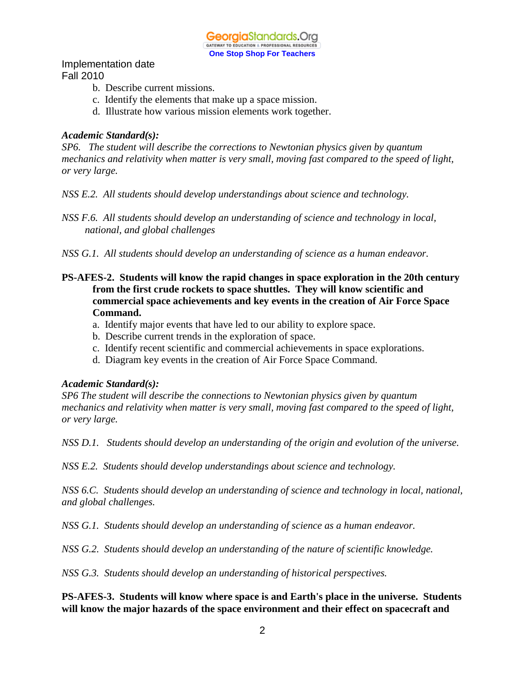GeorgiaStandards.Org GATEWAY TO EDUCATION & PROFESSIONAL RESOURCE **One Stop Shop For Teachers**

Implementation date Fall 2010

- b. Describe current missions.
- c. Identify the elements that make up a space mission.
- d. Illustrate how various mission elements work together.

#### *Academic Standard(s):*

*SP6. The student will describe the corrections to Newtonian physics given by quantum mechanics and relativity when matter is very small, moving fast compared to the speed of light, or very large.*

*NSS E.2. All students should develop understandings about science and technology.*

*NSS F.6. All students should develop an understanding of science and technology in local, national, and global challenges*

- *NSS G.1. All students should develop an understanding of science as a human endeavor.*
- **PS-AFES-2. Students will know the rapid changes in space exploration in the 20th century from the first crude rockets to space shuttles. They will know scientific and commercial space achievements and key events in the creation of Air Force Space Command.**
	- a. Identify major events that have led to our ability to explore space.
	- b. Describe current trends in the exploration of space.
	- c. Identify recent scientific and commercial achievements in space explorations.
	- d. Diagram key events in the creation of Air Force Space Command.

#### *Academic Standard(s):*

*SP6 The student will describe the connections to Newtonian physics given by quantum mechanics and relativity when matter is very small, moving fast compared to the speed of light, or very large.*

*NSS D.1. Students should develop an understanding of the origin and evolution of the universe.*

*NSS E.2. Students should develop understandings about science and technology.*

*NSS 6.C. Students should develop an understanding of science and technology in local, national, and global challenges.*

*NSS G.1. Students should develop an understanding of science as a human endeavor.*

*NSS G.2.**Students should develop an understanding of the nature of scientific knowledge.*

*NSS G.3. Students should develop an understanding of historical perspectives.*

**PS-AFES-3. Students will know where space is and Earth's place in the universe. Students will know the major hazards of the space environment and their effect on spacecraft and**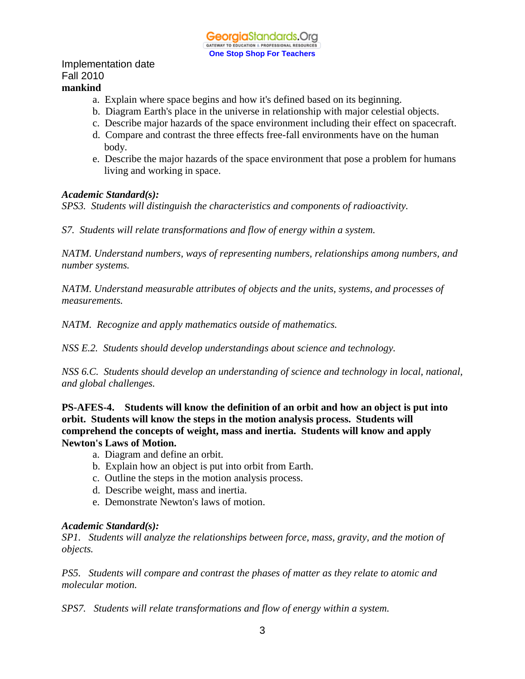#### Implementation date Fall 2010 **mankind**

- a. Explain where space begins and how it's defined based on its beginning.
- b. Diagram Earth's place in the universe in relationship with major celestial objects.
- c. Describe major hazards of the space environment including their effect on spacecraft.
- d. Compare and contrast the three effects free-fall environments have on the human body.
- e. Describe the major hazards of the space environment that pose a problem for humans living and working in space.

#### *Academic Standard(s):*

*SPS3. Students will distinguish the characteristics and components of radioactivity.*

*S7. Students will relate transformations and flow of energy within a system.*

*NATM. Understand numbers, ways of representing numbers, relationships among numbers, and number systems.*

*NATM. Understand measurable attributes of objects and the units, systems, and processes of measurements.*

*NATM. Recognize and apply mathematics outside of mathematics.*

*NSS E.2. Students should develop understandings about science and technology.*

*NSS 6.C. Students should develop an understanding of science and technology in local, national, and global challenges.*

**PS-AFES-4. Students will know the definition of an orbit and how an object is put into orbit. Students will know the steps in the motion analysis process. Students will comprehend the concepts of weight, mass and inertia. Students will know and apply Newton's Laws of Motion.**

- a. Diagram and define an orbit.
- b. Explain how an object is put into orbit from Earth.
- c. Outline the steps in the motion analysis process.
- d. Describe weight, mass and inertia.
- e. Demonstrate Newton's laws of motion.

#### *Academic Standard(s):*

*SP1. Students will analyze the relationships between force, mass, gravity, and the motion of objects.*

*PS5. Students will compare and contrast the phases of matter as they relate to atomic and molecular motion.*

*SPS7. Students will relate transformations and flow of energy within a system.*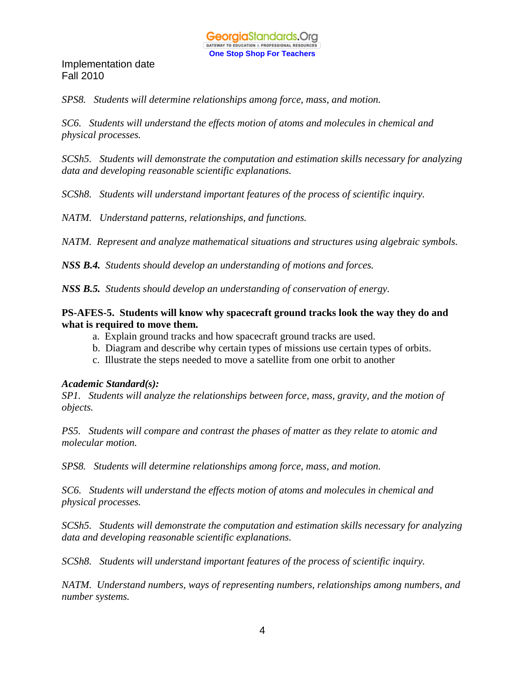*SPS8. Students will determine relationships among force, mass, and motion.*

*SC6. Students will understand the effects motion of atoms and molecules in chemical and physical processes.*

*SCSh5. Students will demonstrate the computation and estimation skills necessary for analyzing data and developing reasonable scientific explanations.*

*SCSh8. Students will understand important features of the process of scientific inquiry.*

*NATM. Understand patterns, relationships, and functions.*

*NATM. Represent and analyze mathematical situations and structures using algebraic symbols.*

*NSS B.4. Students should develop an understanding of motions and forces.*

*NSS B.5. Students should develop an understanding of conservation of energy.*

#### **PS-AFES-5. Students will know why spacecraft ground tracks look the way they do and what is required to move them.**

- a. Explain ground tracks and how spacecraft ground tracks are used.
- b. Diagram and describe why certain types of missions use certain types of orbits.
- c. Illustrate the steps needed to move a satellite from one orbit to another

#### *Academic Standard(s):*

*SP1. Students will analyze the relationships between force, mass, gravity, and the motion of objects.*

*PS5. Students will compare and contrast the phases of matter as they relate to atomic and molecular motion.*

*SPS8. Students will determine relationships among force, mass, and motion.*

*SC6. Students will understand the effects motion of atoms and molecules in chemical and physical processes.*

*SCSh5. Students will demonstrate the computation and estimation skills necessary for analyzing data and developing reasonable scientific explanations.*

*SCSh8. Students will understand important features of the process of scientific inquiry.*

*NATM. Understand numbers, ways of representing numbers, relationships among numbers, and number systems.*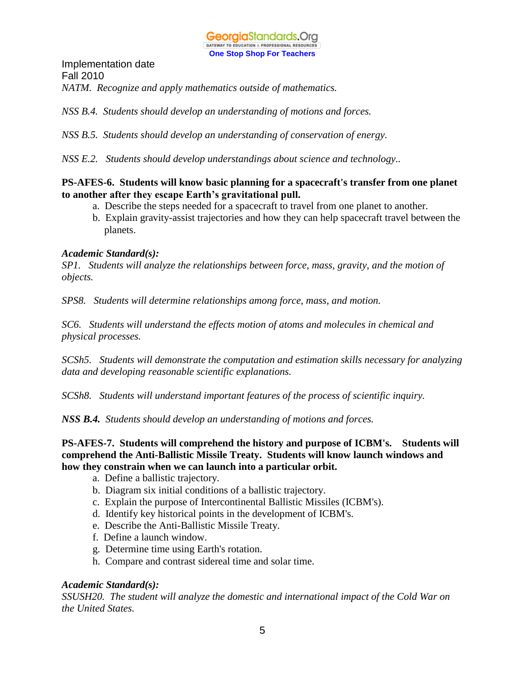Implementation date Fall 2010 *NATM. Recognize and apply mathematics outside of mathematics.*

*NSS B.4. Students should develop an understanding of motions and forces.*

*NSS B.5. Students should develop an understanding of conservation of energy.*

*NSS E.2. Students should develop understandings about science and technology..*

#### **PS-AFES-6. Students will know basic planning for a spacecraft's transfer from one planet to another after they escape Earth's gravitational pull.**

- a. Describe the steps needed for a spacecraft to travel from one planet to another.
- b. Explain gravity-assist trajectories and how they can help spacecraft travel between the planets.

#### *Academic Standard(s):*

*SP1. Students will analyze the relationships between force, mass, gravity, and the motion of objects.*

*SPS8. Students will determine relationships among force, mass, and motion.*

*SC6. Students will understand the effects motion of atoms and molecules in chemical and physical processes.*

*SCSh5. Students will demonstrate the computation and estimation skills necessary for analyzing data and developing reasonable scientific explanations.*

*SCSh8. Students will understand important features of the process of scientific inquiry.*

*NSS B.4. Students should develop an understanding of motions and forces.*

#### **PS-AFES-7. Students will comprehend the history and purpose of ICBM's. Students will comprehend the Anti-Ballistic Missile Treaty. Students will know launch windows and how they constrain when we can launch into a particular orbit.**

- a. Define a ballistic trajectory.
- b. Diagram six initial conditions of a ballistic trajectory.
- c. Explain the purpose of Intercontinental Ballistic Missiles (ICBM's).
- d. Identify key historical points in the development of ICBM's.
- e. Describe the Anti-Ballistic Missile Treaty.
- f. Define a launch window.
- g. Determine time using Earth's rotation.
- h. Compare and contrast sidereal time and solar time.

#### *Academic Standard(s):*

*SSUSH20. The student will analyze the domestic and international impact of the Cold War on the United States.*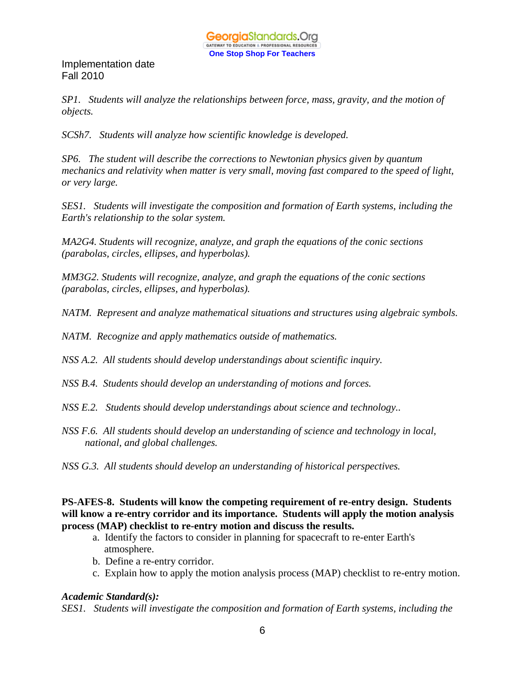*SP1. Students will analyze the relationships between force, mass, gravity, and the motion of objects.*

*SCSh7. Students will analyze how scientific knowledge is developed.*

*SP6. The student will describe the corrections to Newtonian physics given by quantum mechanics and relativity when matter is very small, moving fast compared to the speed of light, or very large.*

*SES1. Students will investigate the composition and formation of Earth systems, including the Earth's relationship to the solar system.*

*MA2G4. Students will recognize, analyze, and graph the equations of the conic sections (parabolas, circles, ellipses, and hyperbolas).*

*MM3G2. Students will recognize, analyze, and graph the equations of the conic sections (parabolas, circles, ellipses, and hyperbolas).*

*NATM. Represent and analyze mathematical situations and structures using algebraic symbols.*

*NATM. Recognize and apply mathematics outside of mathematics.*

*NSS A.2. All students should develop understandings about scientific inquiry.*

*NSS B.4. Students should develop an understanding of motions and forces.*

- *NSS E.2. Students should develop understandings about science and technology..*
- *NSS F.6. All students should develop an understanding of science and technology in local, national, and global challenges.*
- *NSS G.3. All students should develop an understanding of historical perspectives.*

**PS-AFES-8. Students will know the competing requirement of re-entry design. Students will know a re-entry corridor and its importance. Students will apply the motion analysis process (MAP) checklist to re-entry motion and discuss the results.**

- a. Identify the factors to consider in planning for spacecraft to re-enter Earth's atmosphere.
- b. Define a re-entry corridor.
- c. Explain how to apply the motion analysis process (MAP) checklist to re-entry motion.

#### *Academic Standard(s):*

*SES1. Students will investigate the composition and formation of Earth systems, including the*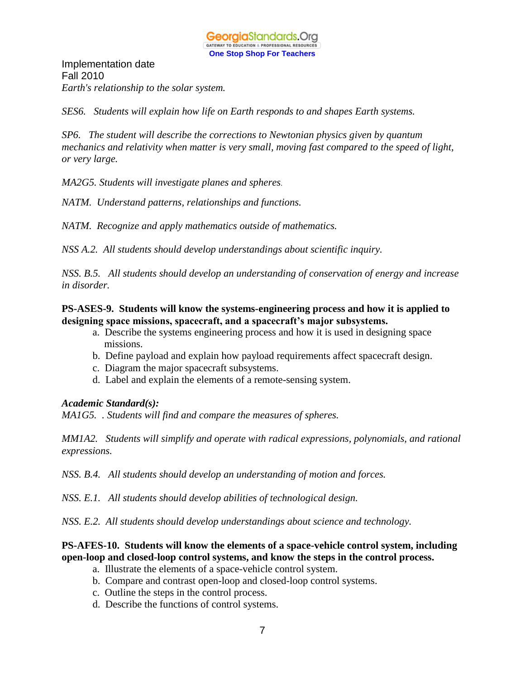Implementation date Fall 2010 *Earth's relationship to the solar system.*

*SES6. Students will explain how life on Earth responds to and shapes Earth systems.*

*SP6. The student will describe the corrections to Newtonian physics given by quantum mechanics and relativity when matter is very small, moving fast compared to the speed of light, or very large.*

*MA2G5. Students will investigate planes and spheres*.

*NATM. Understand patterns, relationships and functions.* 

*NATM. Recognize and apply mathematics outside of mathematics.*

*NSS A.2. All students should develop understandings about scientific inquiry.*

*NSS. B.5. All students should develop an understanding of conservation of energy and increase in disorder.*

#### **PS-ASES-9. Students will know the systems-engineering process and how it is applied to designing space missions, spacecraft, and a spacecraft's major subsystems.**

- a. Describe the systems engineering process and how it is used in designing space missions.
- b. Define payload and explain how payload requirements affect spacecraft design.
- c. Diagram the major spacecraft subsystems.
- d. Label and explain the elements of a remote-sensing system.

#### *Academic Standard(s):*

*MA1G5. . Students will find and compare the measures of spheres.*

*MM1A2. Students will simplify and operate with radical expressions, polynomials, and rational expressions.*

*NSS. B.4. All students should develop an understanding of motion and forces.*

*NSS. E.1. All students should develop abilities of technological design.*

*NSS. E.2. All students should develop understandings about science and technology.*

#### **PS-AFES-10. Students will know the elements of a space-vehicle control system, including open-loop and closed-loop control systems, and know the steps in the control process.**

- a. Illustrate the elements of a space-vehicle control system.
- b. Compare and contrast open-loop and closed-loop control systems.
- c. Outline the steps in the control process.
- d. Describe the functions of control systems.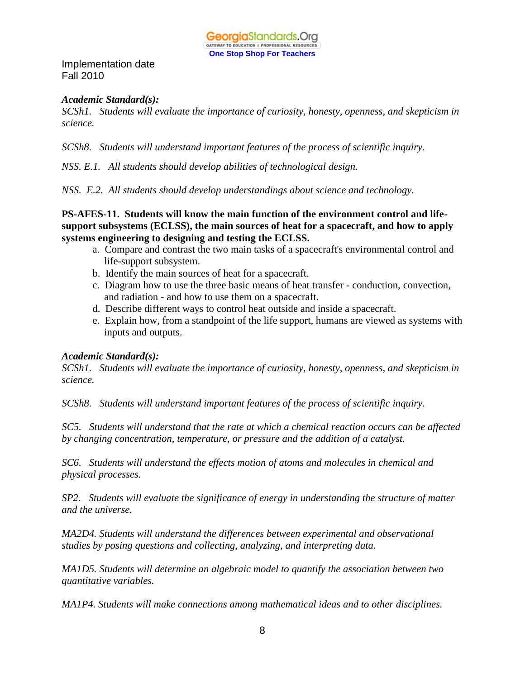

#### *Academic Standard(s):*

*SCSh1. Students will evaluate the importance of curiosity, honesty, openness, and skepticism in science.*

*SCSh8. Students will understand important features of the process of scientific inquiry.*

*NSS. E.1. All students should develop abilities of technological design.*

*NSS. E.2. All students should develop understandings about science and technology.*

**PS-AFES-11. Students will know the main function of the environment control and lifesupport subsystems (ECLSS), the main sources of heat for a spacecraft, and how to apply systems engineering to designing and testing the ECLSS.**

- a. Compare and contrast the two main tasks of a spacecraft's environmental control and life-support subsystem.
- b. Identify the main sources of heat for a spacecraft.
- c. Diagram how to use the three basic means of heat transfer conduction, convection, and radiation - and how to use them on a spacecraft.
- d. Describe different ways to control heat outside and inside a spacecraft.
- e. Explain how, from a standpoint of the life support, humans are viewed as systems with inputs and outputs.

#### *Academic Standard(s):*

*SCSh1. Students will evaluate the importance of curiosity, honesty, openness, and skepticism in science.*

*SCSh8. Students will understand important features of the process of scientific inquiry.*

*SC5. Students will understand that the rate at which a chemical reaction occurs can be affected by changing concentration, temperature, or pressure and the addition of a catalyst.*

*SC6. Students will understand the effects motion of atoms and molecules in chemical and physical processes.*

*SP2. Students will evaluate the significance of energy in understanding the structure of matter and the universe.*

*MA2D4. Students will understand the differences between experimental and observational studies by posing questions and collecting, analyzing, and interpreting data.*

*MA1D5. Students will determine an algebraic model to quantify the association between two quantitative variables.*

*MA1P4. Students will make connections among mathematical ideas and to other disciplines.*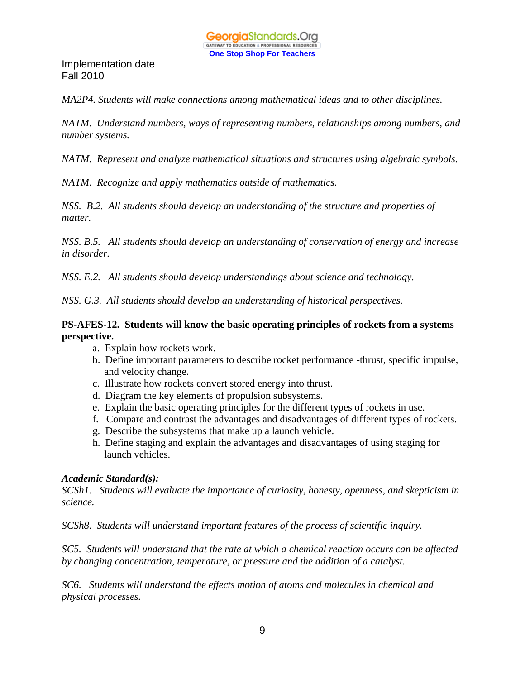

*MA2P4. Students will make connections among mathematical ideas and to other disciplines.*

*NATM. Understand numbers, ways of representing numbers, relationships among numbers, and number systems.*

*NATM. Represent and analyze mathematical situations and structures using algebraic symbols.*

*NATM. Recognize and apply mathematics outside of mathematics.*

*NSS. B.2. All students should develop an understanding of the structure and properties of matter.*

*NSS. B.5. All students should develop an understanding of conservation of energy and increase in disorder.*

*NSS. E.2. All students should develop understandings about science and technology.*

*NSS. G.3. All students should develop an understanding of historical perspectives.*

#### **PS-AFES-12. Students will know the basic operating principles of rockets from a systems perspective.**

- a. Explain how rockets work.
- b. Define important parameters to describe rocket performance -thrust, specific impulse, and velocity change.
- c. Illustrate how rockets convert stored energy into thrust.
- d. Diagram the key elements of propulsion subsystems.
- e. Explain the basic operating principles for the different types of rockets in use.
- f. Compare and contrast the advantages and disadvantages of different types of rockets.
- g. Describe the subsystems that make up a launch vehicle.
- h. Define staging and explain the advantages and disadvantages of using staging for launch vehicles.

#### *Academic Standard(s):*

*SCSh1. Students will evaluate the importance of curiosity, honesty, openness, and skepticism in science.*

*SCSh8. Students will understand important features of the process of scientific inquiry.*

*SC5. Students will understand that the rate at which a chemical reaction occurs can be affected by changing concentration, temperature, or pressure and the addition of a catalyst.*

*SC6. Students will understand the effects motion of atoms and molecules in chemical and physical processes.*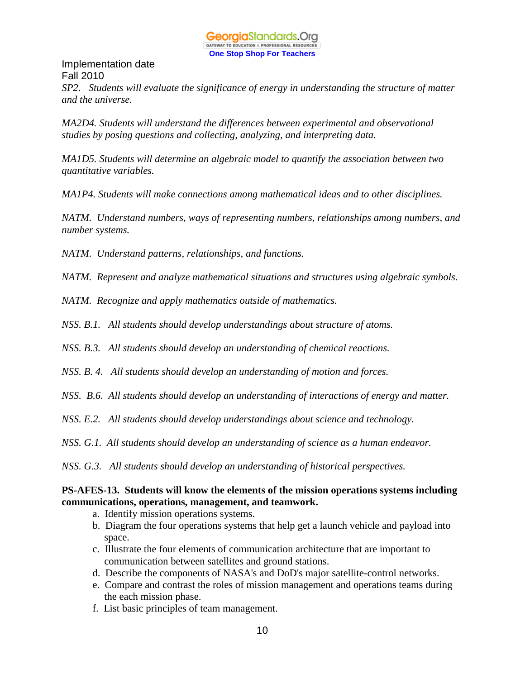

*SP2. Students will evaluate the significance of energy in understanding the structure of matter and the universe.*

*MA2D4. Students will understand the differences between experimental and observational studies by posing questions and collecting, analyzing, and interpreting data.*

*MA1D5. Students will determine an algebraic model to quantify the association between two quantitative variables.*

*MA1P4. Students will make connections among mathematical ideas and to other disciplines.*

*NATM. Understand numbers, ways of representing numbers, relationships among numbers, and number systems.*

*NATM. Understand patterns, relationships, and functions.*

*NATM. Represent and analyze mathematical situations and structures using algebraic symbols.*

*NATM. Recognize and apply mathematics outside of mathematics.*

*NSS. B.1. All students should develop understandings about structure of atoms.*

*NSS. B.3. All students should develop an understanding of chemical reactions.*

*NSS. B. 4. All students should develop an understanding of motion and forces.*

*NSS. B.6. All students should develop an understanding of interactions of energy and matter.*

*NSS. E.2. All students should develop understandings about science and technology.*

*NSS. G.1. All students should develop an understanding of science as a human endeavor.*

*NSS. G.3. All students should develop an understanding of historical perspectives.*

#### **PS-AFES-13. Students will know the elements of the mission operations systems including communications, operations, management, and teamwork.**

- a. Identify mission operations systems.
- b. Diagram the four operations systems that help get a launch vehicle and payload into space.
- c. Illustrate the four elements of communication architecture that are important to communication between satellites and ground stations.
- d. Describe the components of NASA's and DoD's major satellite-control networks.
- e. Compare and contrast the roles of mission management and operations teams during the each mission phase.
- f. List basic principles of team management.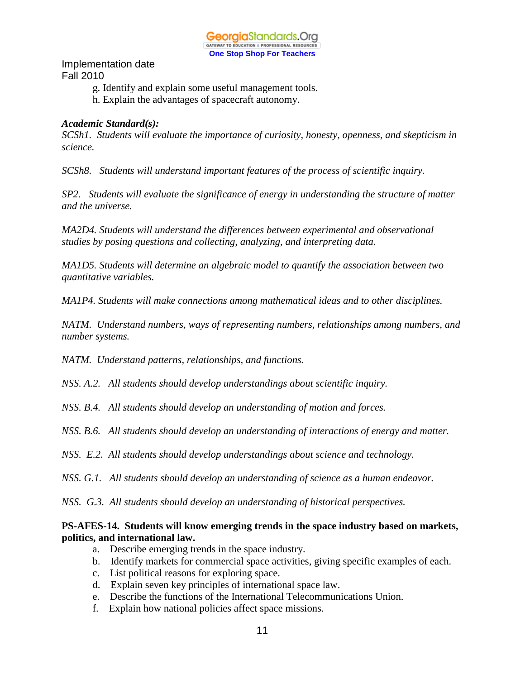- g. Identify and explain some useful management tools.
- h. Explain the advantages of spacecraft autonomy.

#### *Academic Standard(s):*

*SCSh1. Students will evaluate the importance of curiosity, honesty, openness, and skepticism in science.*

*SCSh8. Students will understand important features of the process of scientific inquiry.*

*SP2. Students will evaluate the significance of energy in understanding the structure of matter and the universe.*

*MA2D4. Students will understand the differences between experimental and observational studies by posing questions and collecting, analyzing, and interpreting data.*

*MA1D5. Students will determine an algebraic model to quantify the association between two quantitative variables.*

*MA1P4. Students will make connections among mathematical ideas and to other disciplines.*

*NATM. Understand numbers, ways of representing numbers, relationships among numbers, and number systems.*

*NATM. Understand patterns, relationships, and functions.*

*NSS. A.2. All students should develop understandings about scientific inquiry.*

*NSS. B.4. All students should develop an understanding of motion and forces.*

*NSS. B.6. All students should develop an understanding of interactions of energy and matter.*

*NSS. E.2. All students should develop understandings about science and technology.*

*NSS. G.1. All students should develop an understanding of science as a human endeavor.*

*NSS. G.3. All students should develop an understanding of historical perspectives.*

#### **PS-AFES-14. Students will know emerging trends in the space industry based on markets, politics, and international law.**

- a. Describe emerging trends in the space industry.
- b. Identify markets for commercial space activities, giving specific examples of each.
- c. List political reasons for exploring space.
- d. Explain seven key principles of international space law.
- e. Describe the functions of the International Telecommunications Union.
- f. Explain how national policies affect space missions.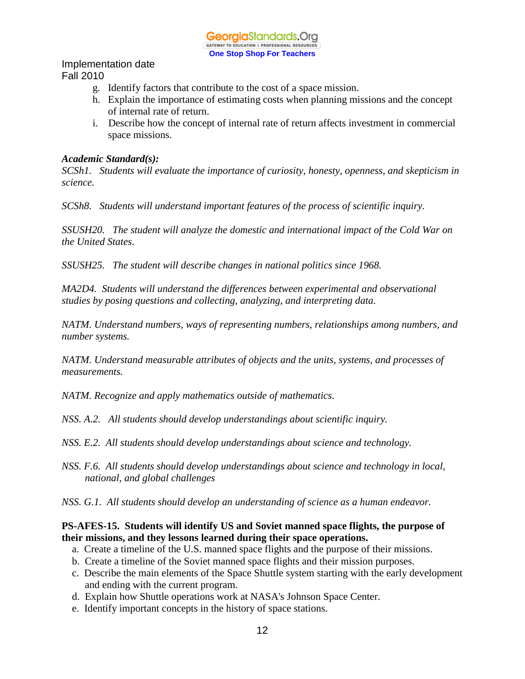- g. Identify factors that contribute to the cost of a space mission.
- h. Explain the importance of estimating costs when planning missions and the concept of internal rate of return.
- i. Describe how the concept of internal rate of return affects investment in commercial space missions.

#### *Academic Standard(s):*

*SCSh1. Students will evaluate the importance of curiosity, honesty, openness, and skepticism in science.*

*SCSh8. Students will understand important features of the process of scientific inquiry.*

*SSUSH20. The student will analyze the domestic and international impact of the Cold War on the United States.*

*SSUSH25. The student will describe changes in national politics since 1968.*

*MA2D4. Students will understand the differences between experimental and observational studies by posing questions and collecting, analyzing, and interpreting data.*

*NATM. Understand numbers, ways of representing numbers, relationships among numbers, and number systems.*

*NATM. Understand measurable attributes of objects and the units, systems, and processes of measurements.*

*NATM. Recognize and apply mathematics outside of mathematics.*

*NSS. A.2. All students should develop understandings about scientific inquiry.*

*NSS. E.2. All students should develop understandings about science and technology.*

*NSS. F.6. All students should develop understandings about science and technology in local, national, and global challenges*

*NSS. G.1. All students should develop an understanding of science as a human endeavor.*

#### **PS-AFES-15. Students will identify US and Soviet manned space flights, the purpose of their missions, and they lessons learned during their space operations.**

- a. Create a timeline of the U.S. manned space flights and the purpose of their missions.
- b. Create a timeline of the Soviet manned space flights and their mission purposes.
- c. Describe the main elements of the Space Shuttle system starting with the early development and ending with the current program.
- d. Explain how Shuttle operations work at NASA's Johnson Space Center.
- e. Identify important concepts in the history of space stations.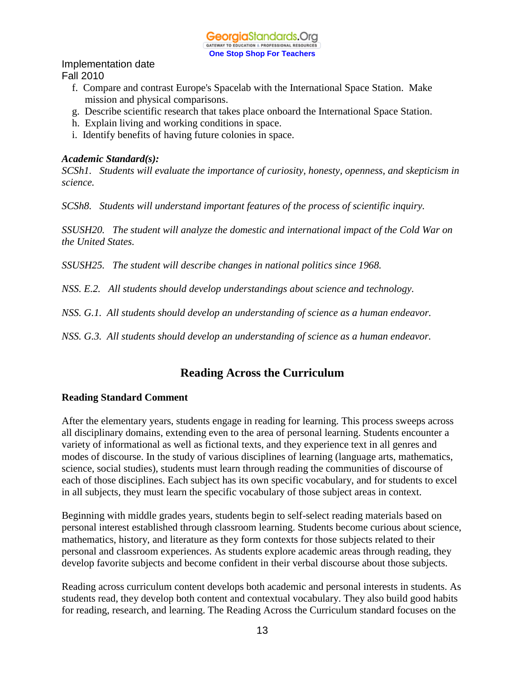

#### Implementation date

Fall 2010

- f. Compare and contrast Europe's Spacelab with the International Space Station. Make mission and physical comparisons.
- g. Describe scientific research that takes place onboard the International Space Station.
- h. Explain living and working conditions in space.
- i. Identify benefits of having future colonies in space.

#### *Academic Standard(s):*

*SCSh1. Students will evaluate the importance of curiosity, honesty, openness, and skepticism in science.*

*SCSh8. Students will understand important features of the process of scientific inquiry.*

*SSUSH20. The student will analyze the domestic and international impact of the Cold War on the United States.*

*SSUSH25. The student will describe changes in national politics since 1968.*

*NSS. E.2. All students should develop understandings about science and technology.*

*NSS. G.1. All students should develop an understanding of science as a human endeavor.*

*NSS. G.3. All students should develop an understanding of science as a human endeavor.*

# **Reading Across the Curriculum**

#### **Reading Standard Comment**

After the elementary years, students engage in reading for learning. This process sweeps across all disciplinary domains, extending even to the area of personal learning. Students encounter a variety of informational as well as fictional texts, and they experience text in all genres and modes of discourse. In the study of various disciplines of learning (language arts, mathematics, science, social studies), students must learn through reading the communities of discourse of each of those disciplines. Each subject has its own specific vocabulary, and for students to excel in all subjects, they must learn the specific vocabulary of those subject areas in context.

Beginning with middle grades years, students begin to self-select reading materials based on personal interest established through classroom learning. Students become curious about science, mathematics, history, and literature as they form contexts for those subjects related to their personal and classroom experiences. As students explore academic areas through reading, they develop favorite subjects and become confident in their verbal discourse about those subjects.

Reading across curriculum content develops both academic and personal interests in students. As students read, they develop both content and contextual vocabulary. They also build good habits for reading, research, and learning. The Reading Across the Curriculum standard focuses on the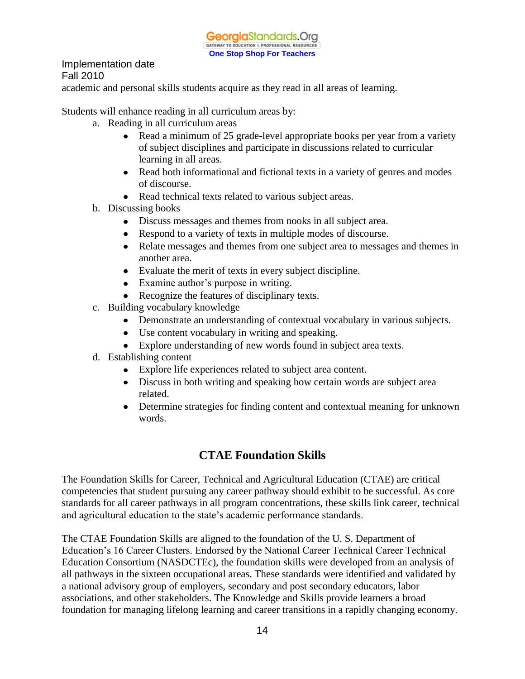

academic and personal skills students acquire as they read in all areas of learning.

Students will enhance reading in all curriculum areas by:

- a. Reading in all curriculum areas
	- Read a minimum of 25 grade-level appropriate books per year from a variety of subject disciplines and participate in discussions related to curricular learning in all areas.
	- Read both informational and fictional texts in a variety of genres and modes of discourse.
	- Read technical texts related to various subject areas.
- b. Discussing books
	- Discuss messages and themes from nooks in all subject area.
	- Respond to a variety of texts in multiple modes of discourse.
	- Relate messages and themes from one subject area to messages and themes in another area.
	- Evaluate the merit of texts in every subject discipline.
	- Examine author's purpose in writing.
	- Recognize the features of disciplinary texts.
- c. Building vocabulary knowledge
	- Demonstrate an understanding of contextual vocabulary in various subjects.
	- Use content vocabulary in writing and speaking.
	- Explore understanding of new words found in subject area texts.
- d. Establishing content
	- Explore life experiences related to subject area content.
	- Discuss in both writing and speaking how certain words are subject area related.
	- Determine strategies for finding content and contextual meaning for unknown words.

# **CTAE Foundation Skills**

The Foundation Skills for Career, Technical and Agricultural Education (CTAE) are critical competencies that student pursuing any career pathway should exhibit to be successful. As core standards for all career pathways in all program concentrations, these skills link career, technical and agricultural education to the state's academic performance standards.

The CTAE Foundation Skills are aligned to the foundation of the U. S. Department of Education's 16 Career Clusters. Endorsed by the National Career Technical Career Technical Education Consortium (NASDCTEc), the foundation skills were developed from an analysis of all pathways in the sixteen occupational areas. These standards were identified and validated by a national advisory group of employers, secondary and post secondary educators, labor associations, and other stakeholders. The Knowledge and Skills provide learners a broad foundation for managing lifelong learning and career transitions in a rapidly changing economy.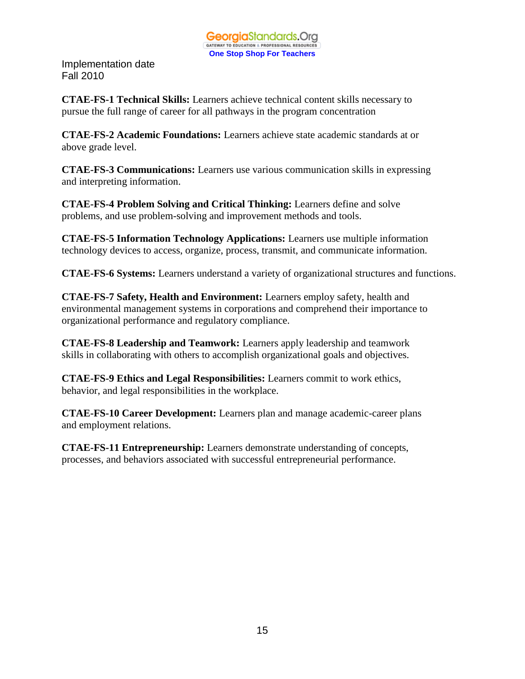

**CTAE-FS-1 Technical Skills:** Learners achieve technical content skills necessary to pursue the full range of career for all pathways in the program concentration

**CTAE-FS-2 Academic Foundations:** Learners achieve state academic standards at or above grade level.

**CTAE-FS-3 Communications:** Learners use various communication skills in expressing and interpreting information.

**CTAE-FS-4 Problem Solving and Critical Thinking:** Learners define and solve problems, and use problem-solving and improvement methods and tools.

**CTAE-FS-5 Information Technology Applications:** Learners use multiple information technology devices to access, organize, process, transmit, and communicate information.

**CTAE-FS-6 Systems:** Learners understand a variety of organizational structures and functions.

**CTAE-FS-7 Safety, Health and Environment:** Learners employ safety, health and environmental management systems in corporations and comprehend their importance to organizational performance and regulatory compliance.

**CTAE-FS-8 Leadership and Teamwork:** Learners apply leadership and teamwork skills in collaborating with others to accomplish organizational goals and objectives.

**CTAE-FS-9 Ethics and Legal Responsibilities:** Learners commit to work ethics, behavior, and legal responsibilities in the workplace.

**CTAE-FS-10 Career Development:** Learners plan and manage academic-career plans and employment relations.

**CTAE-FS-11 Entrepreneurship:** Learners demonstrate understanding of concepts, processes, and behaviors associated with successful entrepreneurial performance.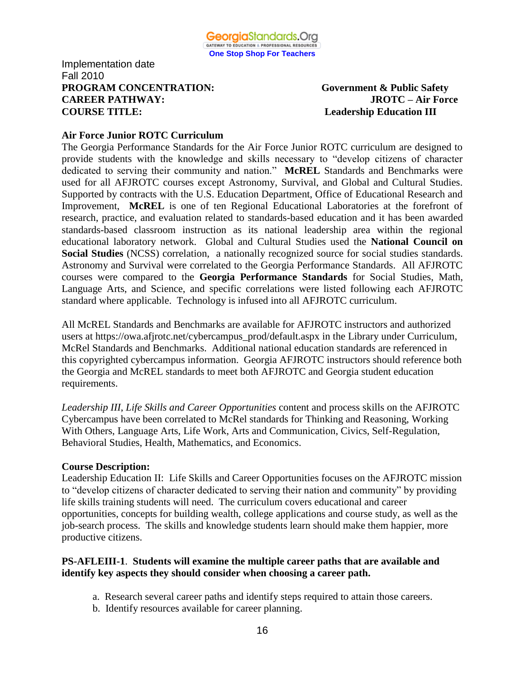#### Implementation date Fall 2010 **PROGRAM CONCENTRATION:** Government & Public Safety **CAREER PATHWAY: JROTC – Air Force COURSE TITLE:** Leadership Education III

#### **Air Force Junior ROTC Curriculum**

The Georgia Performance Standards for the Air Force Junior ROTC curriculum are designed to provide students with the knowledge and skills necessary to "develop citizens of character dedicated to serving their community and nation." **McREL** Standards and Benchmarks were used for all AFJROTC courses except Astronomy, Survival, and Global and Cultural Studies. Supported by contracts with the U.S. Education Department, Office of Educational Research and Improvement, **McREL** is one of ten Regional Educational Laboratories at the forefront of research, practice, and evaluation related to standards-based education and it has been awarded standards-based classroom instruction as its national leadership area within the regional educational laboratory network. Global and Cultural Studies used the **National Council on Social Studies** (NCSS) correlation, a nationally recognized source for social studies standards. Astronomy and Survival were correlated to the Georgia Performance Standards. All AFJROTC courses were compared to the **Georgia Performance Standards** for Social Studies, Math, Language Arts, and Science, and specific correlations were listed following each AFJROTC standard where applicable. Technology is infused into all AFJROTC curriculum.

All McREL Standards and Benchmarks are available for AFJROTC instructors and authorized users at https://owa.afjrotc.net/cybercampus\_prod/default.aspx in the Library under Curriculum, McRel Standards and Benchmarks. Additional national education standards are referenced in this copyrighted cybercampus information. Georgia AFJROTC instructors should reference both the Georgia and McREL standards to meet both AFJROTC and Georgia student education requirements.

*Leadership III*, *Life Skills and Career Opportunities* content and process skills on the AFJROTC Cybercampus have been correlated to McRel standards for Thinking and Reasoning, Working With Others, Language Arts, Life Work, Arts and Communication, Civics, Self-Regulation, Behavioral Studies, Health, Mathematics, and Economics.

#### **Course Description:**

Leadership Education II: Life Skills and Career Opportunities focuses on the AFJROTC mission to "develop citizens of character dedicated to serving their nation and community" by providing life skills training students will need. The curriculum covers educational and career opportunities, concepts for building wealth, college applications and course study, as well as the job-search process. The skills and knowledge students learn should make them happier, more productive citizens.

#### **PS-AFLEIII-1**. **Students will examine the multiple career paths that are available and identify key aspects they should consider when choosing a career path.**

- a. Research several career paths and identify steps required to attain those careers.
- b. Identify resources available for career planning.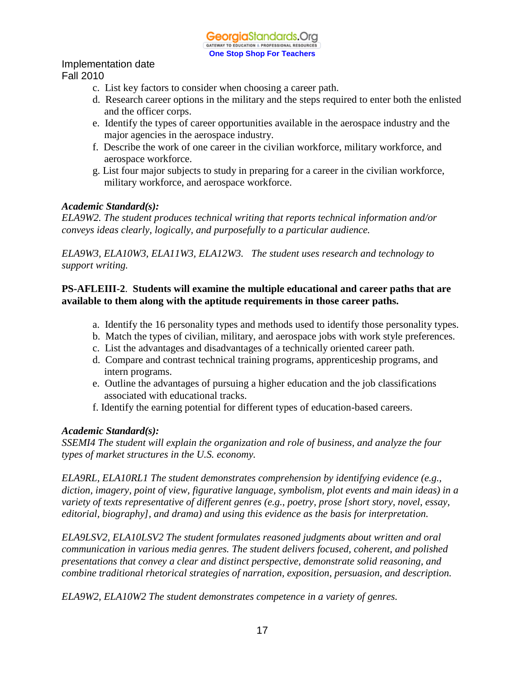- c. List key factors to consider when choosing a career path.
- d. Research career options in the military and the steps required to enter both the enlisted and the officer corps.
- e. Identify the types of career opportunities available in the aerospace industry and the major agencies in the aerospace industry.
- f. Describe the work of one career in the civilian workforce, military workforce, and aerospace workforce.
- g. List four major subjects to study in preparing for a career in the civilian workforce, military workforce, and aerospace workforce.

### *Academic Standard(s):*

*ELA9W2. The student produces technical writing that reports technical information and/or conveys ideas clearly, logically, and purposefully to a particular audience.*

*ELA9W3, ELA10W3, ELA11W3, ELA12W3. The student uses research and technology to support writing.*

### **PS-AFLEIII-2**. **Students will examine the multiple educational and career paths that are available to them along with the aptitude requirements in those career paths.**

- a. Identify the 16 personality types and methods used to identify those personality types.
- b. Match the types of civilian, military, and aerospace jobs with work style preferences.
- c. List the advantages and disadvantages of a technically oriented career path.
- d. Compare and contrast technical training programs, apprenticeship programs, and intern programs.
- e. Outline the advantages of pursuing a higher education and the job classifications associated with educational tracks.
- f. Identify the earning potential for different types of education-based careers.

### *Academic Standard(s):*

*SSEMI4 The student will explain the organization and role of business, and analyze the four types of market structures in the U.S. economy.*

*ELA9RL, ELA10RL1 The student demonstrates comprehension by identifying evidence (e.g., diction, imagery, point of view, figurative language, symbolism, plot events and main ideas) in a variety of texts representative of different genres (e.g., poetry, prose [short story, novel, essay, editorial, biography], and drama) and using this evidence as the basis for interpretation.*

*ELA9LSV2, ELA10LSV2 The student formulates reasoned judgments about written and oral communication in various media genres. The student delivers focused, coherent, and polished presentations that convey a clear and distinct perspective, demonstrate solid reasoning, and combine traditional rhetorical strategies of narration, exposition, persuasion, and description.*

*ELA9W2, ELA10W2 The student demonstrates competence in a variety of genres.*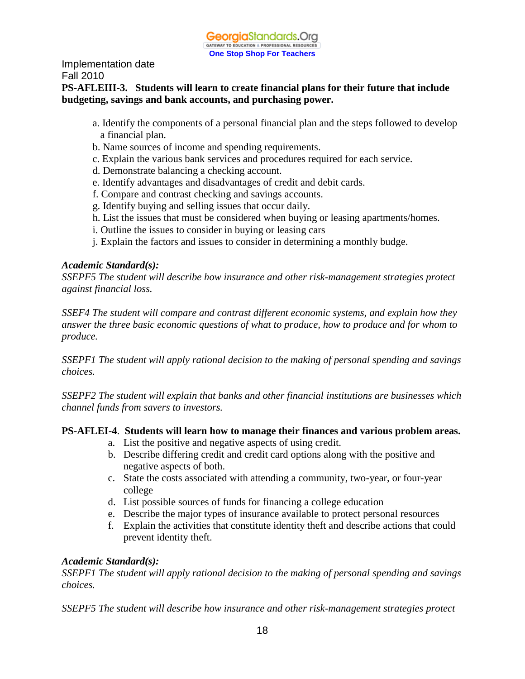### **PS-AFLEIII-3. Students will learn to create financial plans for their future that include budgeting, savings and bank accounts, and purchasing power.**

- a. Identify the components of a personal financial plan and the steps followed to develop a financial plan.
- b. Name sources of income and spending requirements.
- c. Explain the various bank services and procedures required for each service.
- d. Demonstrate balancing a checking account.
- e. Identify advantages and disadvantages of credit and debit cards.
- f. Compare and contrast checking and savings accounts.
- g. Identify buying and selling issues that occur daily.
- h. List the issues that must be considered when buying or leasing apartments/homes.
- i. Outline the issues to consider in buying or leasing cars
- j. Explain the factors and issues to consider in determining a monthly budge.

## *Academic Standard(s):*

*SSEPF5 The student will describe how insurance and other risk-management strategies protect against financial loss.*

*SSEF4 The student will compare and contrast different economic systems, and explain how they answer the three basic economic questions of what to produce, how to produce and for whom to produce.*

*SSEPF1 The student will apply rational decision to the making of personal spending and savings choices.*

*SSEPF2 The student will explain that banks and other financial institutions are businesses which channel funds from savers to investors.*

# **PS-AFLEI-4**. **Students will learn how to manage their finances and various problem areas.**

- a. List the positive and negative aspects of using credit.
- b. Describe differing credit and credit card options along with the positive and negative aspects of both.
- c. State the costs associated with attending a community, two-year, or four-year college
- d. List possible sources of funds for financing a college education
- e. Describe the major types of insurance available to protect personal resources
- f. Explain the activities that constitute identity theft and describe actions that could prevent identity theft.

# *Academic Standard(s):*

*SSEPF1 The student will apply rational decision to the making of personal spending and savings choices.*

*SSEPF5 The student will describe how insurance and other risk-management strategies protect*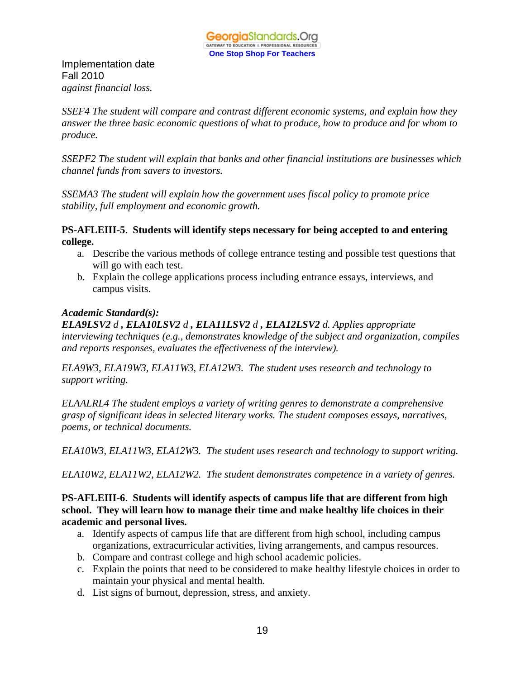Implementation date Fall 2010 *against financial loss.*

*SSEF4 The student will compare and contrast different economic systems, and explain how they answer the three basic economic questions of what to produce, how to produce and for whom to produce.*

*SSEPF2 The student will explain that banks and other financial institutions are businesses which channel funds from savers to investors.*

*SSEMA3 The student will explain how the government uses fiscal policy to promote price stability, full employment and economic growth.*

#### **PS-AFLEIII-5**. **Students will identify steps necessary for being accepted to and entering college.**

- a. Describe the various methods of college entrance testing and possible test questions that will go with each test.
- b. Explain the college applications process including entrance essays, interviews, and campus visits.

### *Academic Standard(s):*

*ELA9LSV2 d , ELA10LSV2 d , ELA11LSV2 d , ELA12LSV2 d. Applies appropriate interviewing techniques (e.g., demonstrates knowledge of the subject and organization, compiles and reports responses, evaluates the effectiveness of the interview).*

*ELA9W3, ELA19W3, ELA11W3, ELA12W3. The student uses research and technology to support writing.*

*ELAALRL4 The student employs a variety of writing genres to demonstrate a comprehensive grasp of significant ideas in selected literary works. The student composes essays, narratives, poems, or technical documents.*

*ELA10W3, ELA11W3, ELA12W3. The student uses research and technology to support writing.*

*ELA10W2, ELA11W2, ELA12W2. The student demonstrates competence in a variety of genres.*

#### **PS-AFLEIII-6**. **Students will identify aspects of campus life that are different from high school. They will learn how to manage their time and make healthy life choices in their academic and personal lives.**

- a. Identify aspects of campus life that are different from high school, including campus organizations, extracurricular activities, living arrangements, and campus resources.
- b. Compare and contrast college and high school academic policies.
- c. Explain the points that need to be considered to make healthy lifestyle choices in order to maintain your physical and mental health.
- d. List signs of burnout, depression, stress, and anxiety.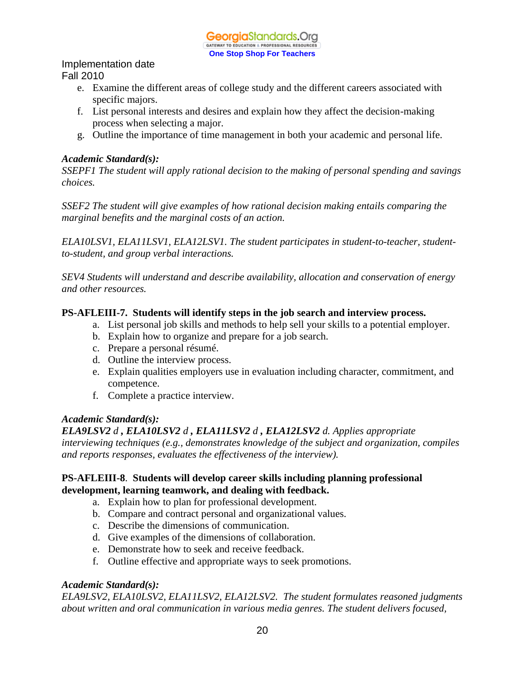# Implementation date

Fall 2010

- e. Examine the different areas of college study and the different careers associated with specific majors.
- f. List personal interests and desires and explain how they affect the decision-making process when selecting a major.
- g. Outline the importance of time management in both your academic and personal life.

#### *Academic Standard(s):*

*SSEPF1 The student will apply rational decision to the making of personal spending and savings choices.*

*SSEF2 The student will give examples of how rational decision making entails comparing the marginal benefits and the marginal costs of an action.*

*ELA10LSV1, ELA11LSV1, ELA12LSV1. The student participates in student-to-teacher, studentto-student, and group verbal interactions.*

*SEV4 Students will understand and describe availability, allocation and conservation of energy and other resources.*

#### **PS-AFLEIII-7. Students will identify steps in the job search and interview process.**

- a. List personal job skills and methods to help sell your skills to a potential employer.
- b. Explain how to organize and prepare for a job search.
- c. Prepare a personal résumé.
- d. Outline the interview process.
- e. Explain qualities employers use in evaluation including character, commitment, and competence.
- f. Complete a practice interview.

### *Academic Standard(s):*

*ELA9LSV2 d , ELA10LSV2 d , ELA11LSV2 d , ELA12LSV2 d. Applies appropriate* 

*interviewing techniques (e.g., demonstrates knowledge of the subject and organization, compiles and reports responses, evaluates the effectiveness of the interview).*

### **PS-AFLEIII-8**. **Students will develop career skills including planning professional development, learning teamwork, and dealing with feedback.**

- a. Explain how to plan for professional development.
- b. Compare and contract personal and organizational values.
- c. Describe the dimensions of communication.
- d. Give examples of the dimensions of collaboration.
- e. Demonstrate how to seek and receive feedback.
- f. Outline effective and appropriate ways to seek promotions.

### *Academic Standard(s):*

*ELA9LSV2, ELA10LSV2, ELA11LSV2, ELA12LSV2. The student formulates reasoned judgments about written and oral communication in various media genres. The student delivers focused,*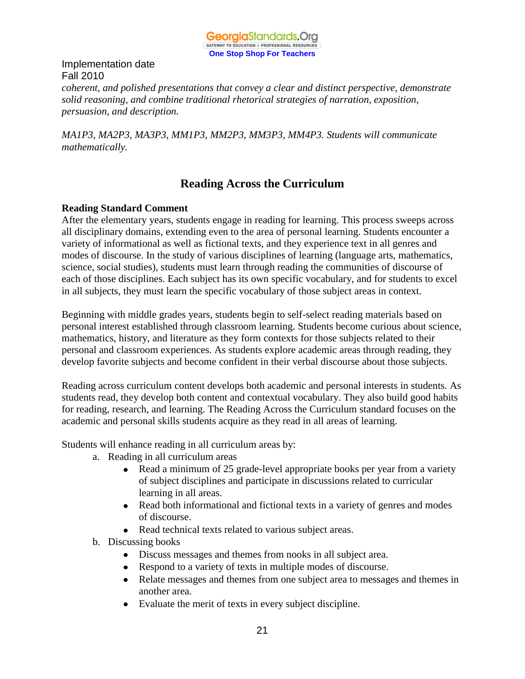

# Implementation date Fall 2010 *coherent, and polished presentations that convey a clear and distinct perspective, demonstrate solid reasoning, and combine traditional rhetorical strategies of narration, exposition, persuasion, and description.*

*MA1P3, MA2P3, MA3P3, MM1P3, MM2P3, MM3P3, MM4P3. Students will communicate mathematically.*

# **Reading Across the Curriculum**

### **Reading Standard Comment**

After the elementary years, students engage in reading for learning. This process sweeps across all disciplinary domains, extending even to the area of personal learning. Students encounter a variety of informational as well as fictional texts, and they experience text in all genres and modes of discourse. In the study of various disciplines of learning (language arts, mathematics, science, social studies), students must learn through reading the communities of discourse of each of those disciplines. Each subject has its own specific vocabulary, and for students to excel in all subjects, they must learn the specific vocabulary of those subject areas in context.

Beginning with middle grades years, students begin to self-select reading materials based on personal interest established through classroom learning. Students become curious about science, mathematics, history, and literature as they form contexts for those subjects related to their personal and classroom experiences. As students explore academic areas through reading, they develop favorite subjects and become confident in their verbal discourse about those subjects.

Reading across curriculum content develops both academic and personal interests in students. As students read, they develop both content and contextual vocabulary. They also build good habits for reading, research, and learning. The Reading Across the Curriculum standard focuses on the academic and personal skills students acquire as they read in all areas of learning.

Students will enhance reading in all curriculum areas by:

- a. Reading in all curriculum areas
	- Read a minimum of 25 grade-level appropriate books per year from a variety  $\bullet$ of subject disciplines and participate in discussions related to curricular learning in all areas.
	- Read both informational and fictional texts in a variety of genres and modes of discourse.
	- Read technical texts related to various subject areas.
- b. Discussing books
	- Discuss messages and themes from nooks in all subject area.
	- Respond to a variety of texts in multiple modes of discourse.
	- Relate messages and themes from one subject area to messages and themes in another area.
	- Evaluate the merit of texts in every subject discipline.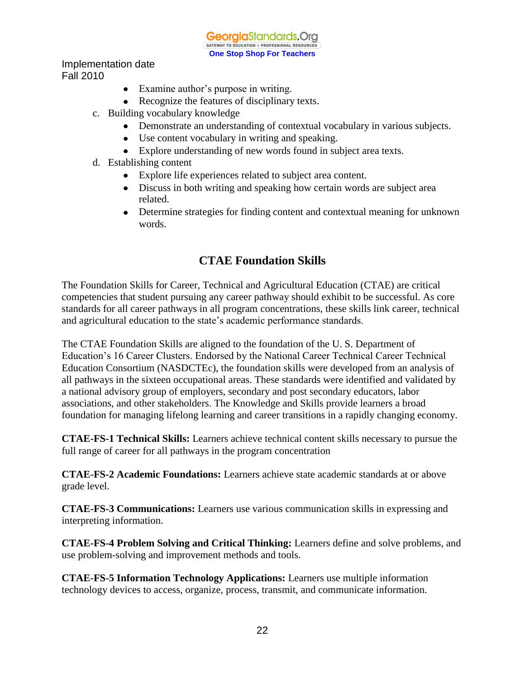GeorgiaStandards.Org GATEWAY TO EDUCATION & PROFESSIONAL RESOURCE **One Stop Shop For Teachers**

Implementation date Fall 2010

- Examine author's purpose in writing.
- Recognize the features of disciplinary texts.
- c. Building vocabulary knowledge
	- Demonstrate an understanding of contextual vocabulary in various subjects.
	- Use content vocabulary in writing and speaking.
	- Explore understanding of new words found in subject area texts.
- d. Establishing content
	- Explore life experiences related to subject area content.
	- Discuss in both writing and speaking how certain words are subject area related.
	- Determine strategies for finding content and contextual meaning for unknown words.

# **CTAE Foundation Skills**

The Foundation Skills for Career, Technical and Agricultural Education (CTAE) are critical competencies that student pursuing any career pathway should exhibit to be successful. As core standards for all career pathways in all program concentrations, these skills link career, technical and agricultural education to the state's academic performance standards.

The CTAE Foundation Skills are aligned to the foundation of the U. S. Department of Education's 16 Career Clusters. Endorsed by the National Career Technical Career Technical Education Consortium (NASDCTEc), the foundation skills were developed from an analysis of all pathways in the sixteen occupational areas. These standards were identified and validated by a national advisory group of employers, secondary and post secondary educators, labor associations, and other stakeholders. The Knowledge and Skills provide learners a broad foundation for managing lifelong learning and career transitions in a rapidly changing economy.

**CTAE-FS-1 Technical Skills:** Learners achieve technical content skills necessary to pursue the full range of career for all pathways in the program concentration

**CTAE-FS-2 Academic Foundations:** Learners achieve state academic standards at or above grade level.

**CTAE-FS-3 Communications:** Learners use various communication skills in expressing and interpreting information.

**CTAE-FS-4 Problem Solving and Critical Thinking:** Learners define and solve problems, and use problem-solving and improvement methods and tools.

**CTAE-FS-5 Information Technology Applications:** Learners use multiple information technology devices to access, organize, process, transmit, and communicate information.